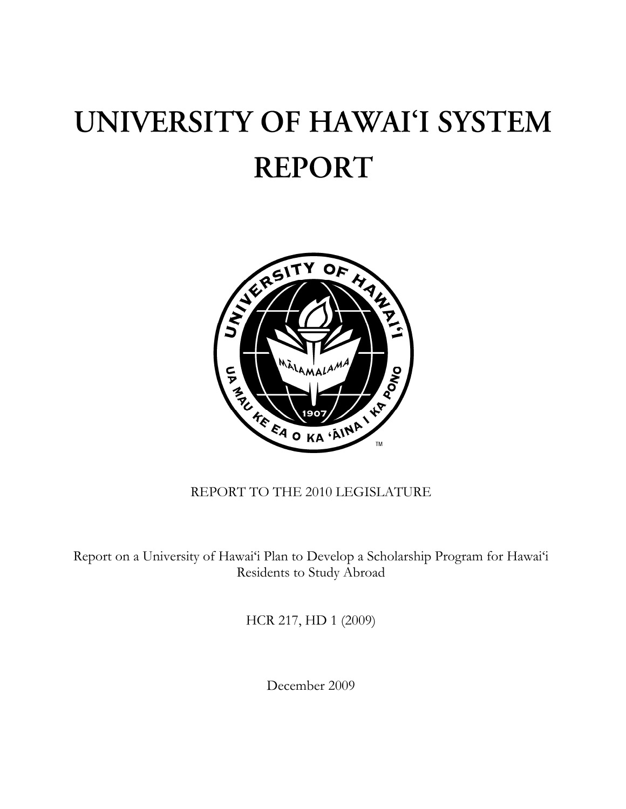## UNIVERSITY OF HAWAI'I SYSTEM **REPORT**



## REPORT TO THE 2010 LEGISLATURE

Report on a University of Hawai'i Plan to Develop a Scholarship Program for Hawai'i Residents to Study Abroad

HCR 217, HD 1 (2009)

December 2009